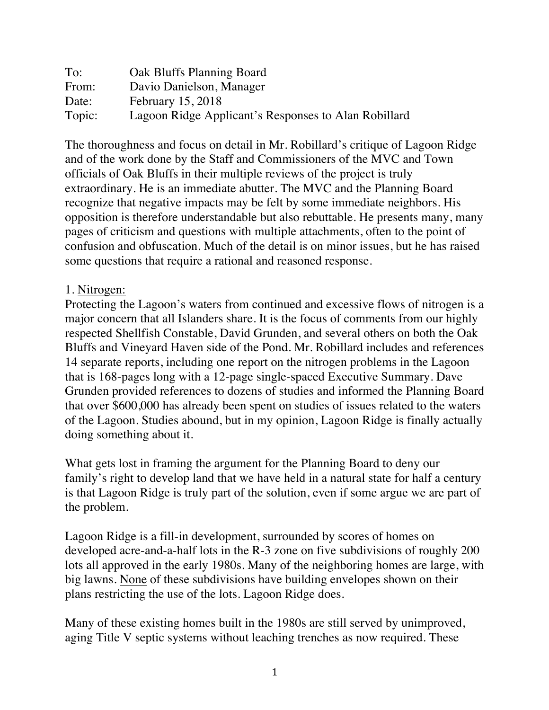| To:    | Oak Bluffs Planning Board                            |
|--------|------------------------------------------------------|
| From:  | Davio Danielson, Manager                             |
| Date:  | February 15, 2018                                    |
| Topic: | Lagoon Ridge Applicant's Responses to Alan Robillard |

The thoroughness and focus on detail in Mr. Robillard's critique of Lagoon Ridge and of the work done by the Staff and Commissioners of the MVC and Town officials of Oak Bluffs in their multiple reviews of the project is truly extraordinary. He is an immediate abutter. The MVC and the Planning Board recognize that negative impacts may be felt by some immediate neighbors. His opposition is therefore understandable but also rebuttable. He presents many, many pages of criticism and questions with multiple attachments, often to the point of confusion and obfuscation. Much of the detail is on minor issues, but he has raised some questions that require a rational and reasoned response.

#### 1. Nitrogen:

Protecting the Lagoon's waters from continued and excessive flows of nitrogen is a major concern that all Islanders share. It is the focus of comments from our highly respected Shellfish Constable, David Grunden, and several others on both the Oak Bluffs and Vineyard Haven side of the Pond. Mr. Robillard includes and references 14 separate reports, including one report on the nitrogen problems in the Lagoon that is 168-pages long with a 12-page single-spaced Executive Summary. Dave Grunden provided references to dozens of studies and informed the Planning Board that over \$600,000 has already been spent on studies of issues related to the waters of the Lagoon. Studies abound, but in my opinion, Lagoon Ridge is finally actually doing something about it.

What gets lost in framing the argument for the Planning Board to deny our family's right to develop land that we have held in a natural state for half a century is that Lagoon Ridge is truly part of the solution, even if some argue we are part of the problem.

Lagoon Ridge is a fill-in development, surrounded by scores of homes on developed acre-and-a-half lots in the R-3 zone on five subdivisions of roughly 200 lots all approved in the early 1980s. Many of the neighboring homes are large, with big lawns. None of these subdivisions have building envelopes shown on their plans restricting the use of the lots. Lagoon Ridge does.

Many of these existing homes built in the 1980s are still served by unimproved, aging Title V septic systems without leaching trenches as now required. These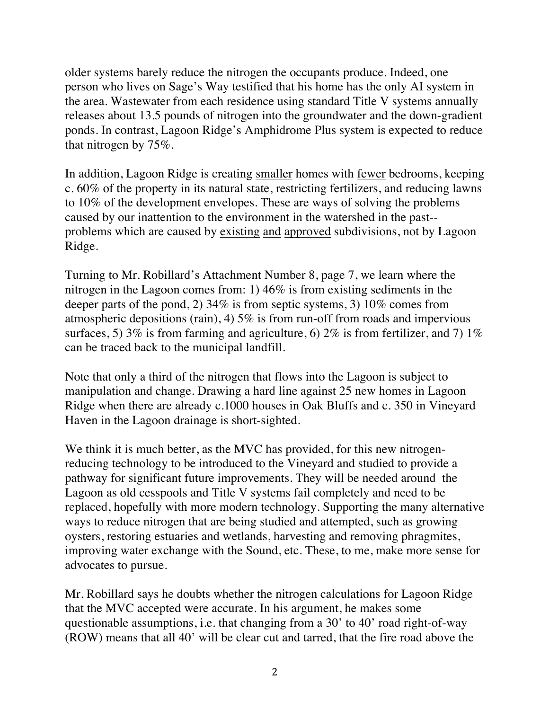older systems barely reduce the nitrogen the occupants produce. Indeed, one person who lives on Sage's Way testified that his home has the only AI system in the area. Wastewater from each residence using standard Title V systems annually releases about 13.5 pounds of nitrogen into the groundwater and the down-gradient ponds. In contrast, Lagoon Ridge's Amphidrome Plus system is expected to reduce that nitrogen by 75%.

In addition, Lagoon Ridge is creating smaller homes with fewer bedrooms, keeping c. 60% of the property in its natural state, restricting fertilizers, and reducing lawns to 10% of the development envelopes. These are ways of solving the problems caused by our inattention to the environment in the watershed in the past- problems which are caused by existing and approved subdivisions, not by Lagoon Ridge.

Turning to Mr. Robillard's Attachment Number 8, page 7, we learn where the nitrogen in the Lagoon comes from: 1) 46% is from existing sediments in the deeper parts of the pond, 2) 34% is from septic systems, 3) 10% comes from atmospheric depositions (rain), 4) 5% is from run-off from roads and impervious surfaces, 5)  $3\%$  is from farming and agriculture, 6)  $2\%$  is from fertilizer, and 7)  $1\%$ can be traced back to the municipal landfill.

Note that only a third of the nitrogen that flows into the Lagoon is subject to manipulation and change. Drawing a hard line against 25 new homes in Lagoon Ridge when there are already c.1000 houses in Oak Bluffs and c. 350 in Vineyard Haven in the Lagoon drainage is short-sighted.

We think it is much better, as the MVC has provided, for this new nitrogenreducing technology to be introduced to the Vineyard and studied to provide a pathway for significant future improvements. They will be needed around the Lagoon as old cesspools and Title V systems fail completely and need to be replaced, hopefully with more modern technology. Supporting the many alternative ways to reduce nitrogen that are being studied and attempted, such as growing oysters, restoring estuaries and wetlands, harvesting and removing phragmites, improving water exchange with the Sound, etc. These, to me, make more sense for advocates to pursue.

Mr. Robillard says he doubts whether the nitrogen calculations for Lagoon Ridge that the MVC accepted were accurate. In his argument, he makes some questionable assumptions, i.e. that changing from a 30' to 40' road right-of-way (ROW) means that all 40' will be clear cut and tarred, that the fire road above the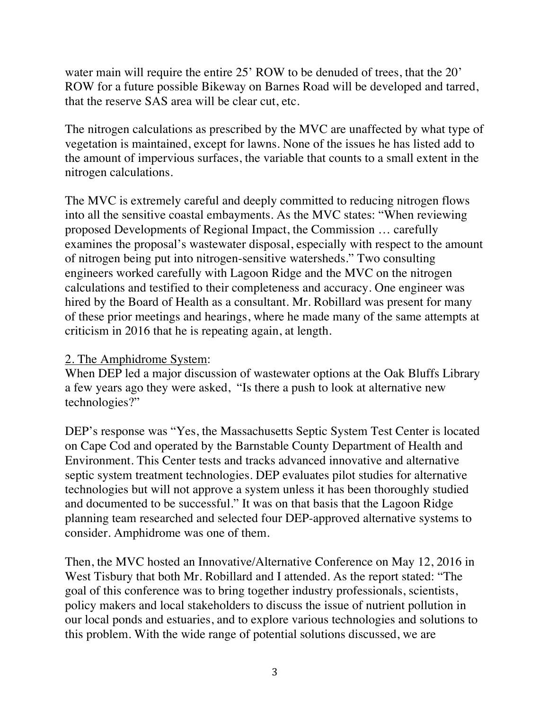water main will require the entire 25' ROW to be denuded of trees, that the 20' ROW for a future possible Bikeway on Barnes Road will be developed and tarred, that the reserve SAS area will be clear cut, etc.

The nitrogen calculations as prescribed by the MVC are unaffected by what type of vegetation is maintained, except for lawns. None of the issues he has listed add to the amount of impervious surfaces, the variable that counts to a small extent in the nitrogen calculations.

The MVC is extremely careful and deeply committed to reducing nitrogen flows into all the sensitive coastal embayments. As the MVC states: "When reviewing proposed Developments of Regional Impact, the Commission … carefully examines the proposal's wastewater disposal, especially with respect to the amount of nitrogen being put into nitrogen-sensitive watersheds." Two consulting engineers worked carefully with Lagoon Ridge and the MVC on the nitrogen calculations and testified to their completeness and accuracy. One engineer was hired by the Board of Health as a consultant. Mr. Robillard was present for many of these prior meetings and hearings, where he made many of the same attempts at criticism in 2016 that he is repeating again, at length.

#### 2. The Amphidrome System:

When DEP led a major discussion of wastewater options at the Oak Bluffs Library a few years ago they were asked, "Is there a push to look at alternative new technologies?"

DEP's response was "Yes, the Massachusetts Septic System Test Center is located on Cape Cod and operated by the Barnstable County Department of Health and Environment. This Center tests and tracks advanced innovative and alternative septic system treatment technologies. DEP evaluates pilot studies for alternative technologies but will not approve a system unless it has been thoroughly studied and documented to be successful." It was on that basis that the Lagoon Ridge planning team researched and selected four DEP-approved alternative systems to consider. Amphidrome was one of them.

Then, the MVC hosted an Innovative/Alternative Conference on May 12, 2016 in West Tisbury that both Mr. Robillard and I attended. As the report stated: "The goal of this conference was to bring together industry professionals, scientists, policy makers and local stakeholders to discuss the issue of nutrient pollution in our local ponds and estuaries, and to explore various technologies and solutions to this problem. With the wide range of potential solutions discussed, we are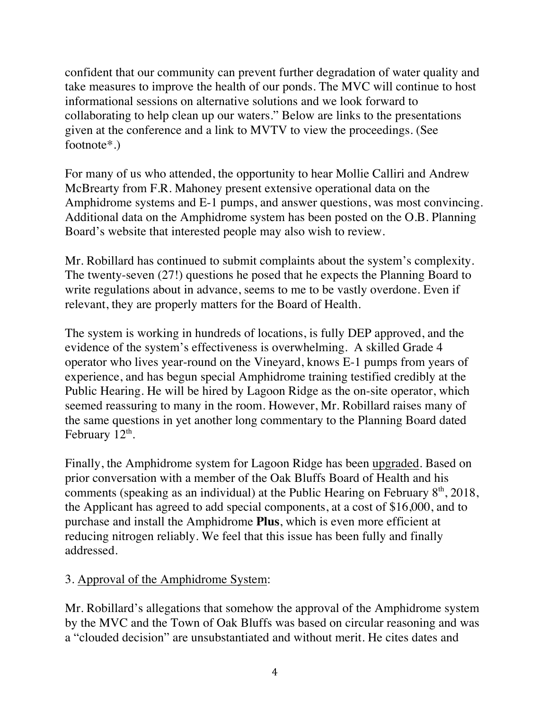confident that our community can prevent further degradation of water quality and take measures to improve the health of our ponds. The MVC will continue to host informational sessions on alternative solutions and we look forward to collaborating to help clean up our waters." Below are links to the presentations given at the conference and a link to MVTV to view the proceedings. (See footnote\*.)

For many of us who attended, the opportunity to hear Mollie Calliri and Andrew McBrearty from F.R. Mahoney present extensive operational data on the Amphidrome systems and E-1 pumps, and answer questions, was most convincing. Additional data on the Amphidrome system has been posted on the O.B. Planning Board's website that interested people may also wish to review.

Mr. Robillard has continued to submit complaints about the system's complexity. The twenty-seven (27!) questions he posed that he expects the Planning Board to write regulations about in advance, seems to me to be vastly overdone. Even if relevant, they are properly matters for the Board of Health.

The system is working in hundreds of locations, is fully DEP approved, and the evidence of the system's effectiveness is overwhelming. A skilled Grade 4 operator who lives year-round on the Vineyard, knows E-1 pumps from years of experience, and has begun special Amphidrome training testified credibly at the Public Hearing. He will be hired by Lagoon Ridge as the on-site operator, which seemed reassuring to many in the room. However, Mr. Robillard raises many of the same questions in yet another long commentary to the Planning Board dated February  $12<sup>th</sup>$ .

Finally, the Amphidrome system for Lagoon Ridge has been upgraded. Based on prior conversation with a member of the Oak Bluffs Board of Health and his comments (speaking as an individual) at the Public Hearing on February  $8<sup>th</sup>$ , 2018, the Applicant has agreed to add special components, at a cost of \$16,000, and to purchase and install the Amphidrome **Plus**, which is even more efficient at reducing nitrogen reliably. We feel that this issue has been fully and finally addressed.

# 3. Approval of the Amphidrome System:

Mr. Robillard's allegations that somehow the approval of the Amphidrome system by the MVC and the Town of Oak Bluffs was based on circular reasoning and was a "clouded decision" are unsubstantiated and without merit. He cites dates and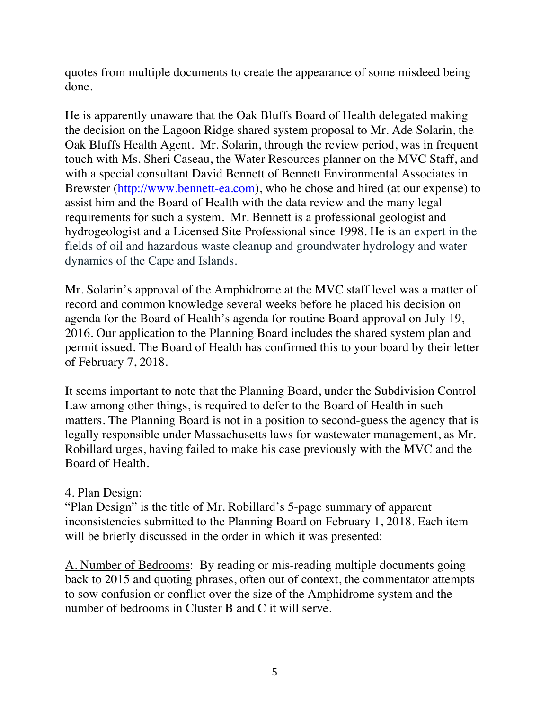quotes from multiple documents to create the appearance of some misdeed being done.

He is apparently unaware that the Oak Bluffs Board of Health delegated making the decision on the Lagoon Ridge shared system proposal to Mr. Ade Solarin, the Oak Bluffs Health Agent. Mr. Solarin, through the review period, was in frequent touch with Ms. Sheri Caseau, the Water Resources planner on the MVC Staff, and with a special consultant David Bennett of Bennett Environmental Associates in Brewster (http://www.bennett-ea.com), who he chose and hired (at our expense) to assist him and the Board of Health with the data review and the many legal requirements for such a system. Mr. Bennett is a professional geologist and hydrogeologist and a Licensed Site Professional since 1998. He is an expert in the fields of oil and hazardous waste cleanup and groundwater hydrology and water dynamics of the Cape and Islands.

Mr. Solarin's approval of the Amphidrome at the MVC staff level was a matter of record and common knowledge several weeks before he placed his decision on agenda for the Board of Health's agenda for routine Board approval on July 19, 2016. Our application to the Planning Board includes the shared system plan and permit issued. The Board of Health has confirmed this to your board by their letter of February 7, 2018.

It seems important to note that the Planning Board, under the Subdivision Control Law among other things, is required to defer to the Board of Health in such matters. The Planning Board is not in a position to second-guess the agency that is legally responsible under Massachusetts laws for wastewater management, as Mr. Robillard urges, having failed to make his case previously with the MVC and the Board of Health.

# 4. Plan Design:

"Plan Design" is the title of Mr. Robillard's 5-page summary of apparent inconsistencies submitted to the Planning Board on February 1, 2018. Each item will be briefly discussed in the order in which it was presented:

A. Number of Bedrooms: By reading or mis-reading multiple documents going back to 2015 and quoting phrases, often out of context, the commentator attempts to sow confusion or conflict over the size of the Amphidrome system and the number of bedrooms in Cluster B and C it will serve.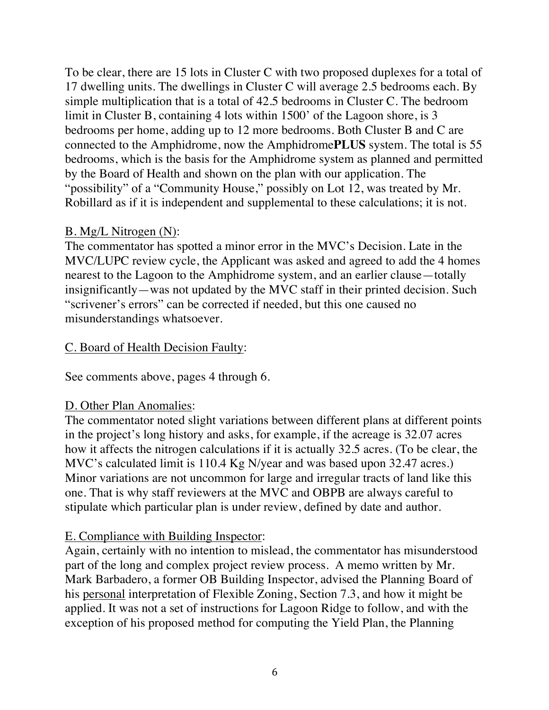To be clear, there are 15 lots in Cluster C with two proposed duplexes for a total of 17 dwelling units. The dwellings in Cluster C will average 2.5 bedrooms each. By simple multiplication that is a total of 42.5 bedrooms in Cluster C. The bedroom limit in Cluster B, containing 4 lots within 1500' of the Lagoon shore, is 3 bedrooms per home, adding up to 12 more bedrooms. Both Cluster B and C are connected to the Amphidrome, now the Amphidrome**PLUS** system. The total is 55 bedrooms, which is the basis for the Amphidrome system as planned and permitted by the Board of Health and shown on the plan with our application. The "possibility" of a "Community House," possibly on Lot 12, was treated by Mr. Robillard as if it is independent and supplemental to these calculations; it is not.

### B. Mg/L Nitrogen (N):

The commentator has spotted a minor error in the MVC's Decision. Late in the MVC/LUPC review cycle, the Applicant was asked and agreed to add the 4 homes nearest to the Lagoon to the Amphidrome system, and an earlier clause—totally insignificantly—was not updated by the MVC staff in their printed decision. Such "scrivener's errors" can be corrected if needed, but this one caused no misunderstandings whatsoever.

### C. Board of Health Decision Faulty:

See comments above, pages 4 through 6.

# D. Other Plan Anomalies:

The commentator noted slight variations between different plans at different points in the project's long history and asks, for example, if the acreage is 32.07 acres how it affects the nitrogen calculations if it is actually 32.5 acres. (To be clear, the MVC's calculated limit is 110.4 Kg N/year and was based upon 32.47 acres.) Minor variations are not uncommon for large and irregular tracts of land like this one. That is why staff reviewers at the MVC and OBPB are always careful to stipulate which particular plan is under review, defined by date and author.

# E. Compliance with Building Inspector:

Again, certainly with no intention to mislead, the commentator has misunderstood part of the long and complex project review process. A memo written by Mr. Mark Barbadero, a former OB Building Inspector, advised the Planning Board of his personal interpretation of Flexible Zoning, Section 7.3, and how it might be applied. It was not a set of instructions for Lagoon Ridge to follow, and with the exception of his proposed method for computing the Yield Plan, the Planning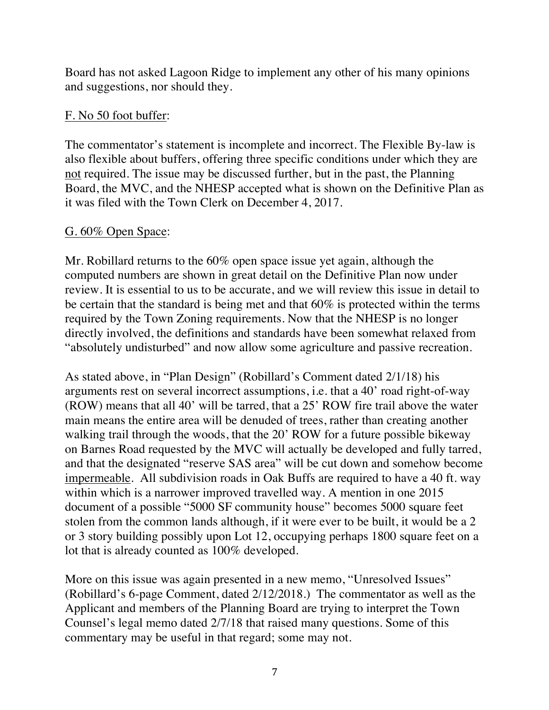Board has not asked Lagoon Ridge to implement any other of his many opinions and suggestions, nor should they.

# F. No 50 foot buffer:

The commentator's statement is incomplete and incorrect. The Flexible By-law is also flexible about buffers, offering three specific conditions under which they are not required. The issue may be discussed further, but in the past, the Planning Board, the MVC, and the NHESP accepted what is shown on the Definitive Plan as it was filed with the Town Clerk on December 4, 2017.

### G. 60% Open Space:

Mr. Robillard returns to the 60% open space issue yet again, although the computed numbers are shown in great detail on the Definitive Plan now under review. It is essential to us to be accurate, and we will review this issue in detail to be certain that the standard is being met and that 60% is protected within the terms required by the Town Zoning requirements. Now that the NHESP is no longer directly involved, the definitions and standards have been somewhat relaxed from "absolutely undisturbed" and now allow some agriculture and passive recreation.

As stated above, in "Plan Design" (Robillard's Comment dated 2/1/18) his arguments rest on several incorrect assumptions, i.e. that a 40' road right-of-way (ROW) means that all 40' will be tarred, that a 25' ROW fire trail above the water main means the entire area will be denuded of trees, rather than creating another walking trail through the woods, that the 20' ROW for a future possible bikeway on Barnes Road requested by the MVC will actually be developed and fully tarred, and that the designated "reserve SAS area" will be cut down and somehow become impermeable. All subdivision roads in Oak Buffs are required to have a 40 ft. way within which is a narrower improved travelled way. A mention in one 2015 document of a possible "5000 SF community house" becomes 5000 square feet stolen from the common lands although, if it were ever to be built, it would be a 2 or 3 story building possibly upon Lot 12, occupying perhaps 1800 square feet on a lot that is already counted as 100% developed.

More on this issue was again presented in a new memo, "Unresolved Issues" (Robillard's 6-page Comment, dated 2/12/2018.) The commentator as well as the Applicant and members of the Planning Board are trying to interpret the Town Counsel's legal memo dated 2/7/18 that raised many questions. Some of this commentary may be useful in that regard; some may not.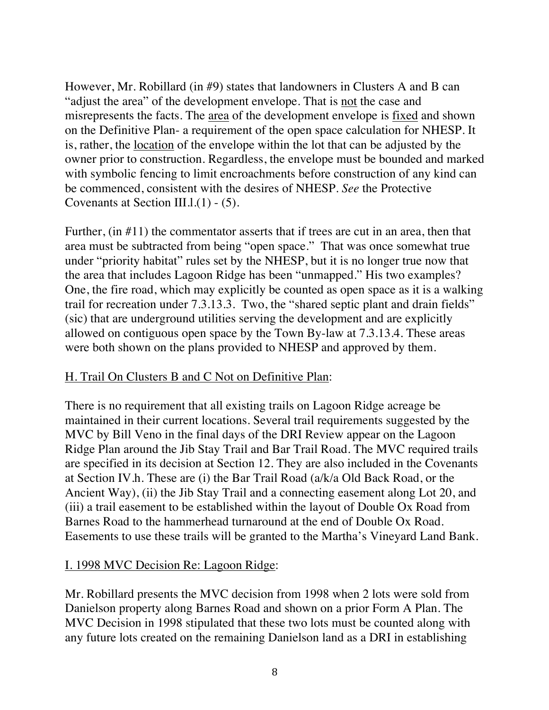However, Mr. Robillard (in #9) states that landowners in Clusters A and B can "adjust the area" of the development envelope. That is not the case and misrepresents the facts. The area of the development envelope is fixed and shown on the Definitive Plan- a requirement of the open space calculation for NHESP. It is, rather, the location of the envelope within the lot that can be adjusted by the owner prior to construction. Regardless, the envelope must be bounded and marked with symbolic fencing to limit encroachments before construction of any kind can be commenced, consistent with the desires of NHESP. *See* the Protective Covenants at Section III.l.(1) - (5).

Further, (in #11) the commentator asserts that if trees are cut in an area, then that area must be subtracted from being "open space." That was once somewhat true under "priority habitat" rules set by the NHESP, but it is no longer true now that the area that includes Lagoon Ridge has been "unmapped." His two examples? One, the fire road, which may explicitly be counted as open space as it is a walking trail for recreation under 7.3.13.3. Two, the "shared septic plant and drain fields" (sic) that are underground utilities serving the development and are explicitly allowed on contiguous open space by the Town By-law at 7.3.13.4. These areas were both shown on the plans provided to NHESP and approved by them.

#### H. Trail On Clusters B and C Not on Definitive Plan:

There is no requirement that all existing trails on Lagoon Ridge acreage be maintained in their current locations. Several trail requirements suggested by the MVC by Bill Veno in the final days of the DRI Review appear on the Lagoon Ridge Plan around the Jib Stay Trail and Bar Trail Road. The MVC required trails are specified in its decision at Section 12. They are also included in the Covenants at Section IV.h. These are (i) the Bar Trail Road (a/k/a Old Back Road, or the Ancient Way), (ii) the Jib Stay Trail and a connecting easement along Lot 20, and (iii) a trail easement to be established within the layout of Double Ox Road from Barnes Road to the hammerhead turnaround at the end of Double Ox Road. Easements to use these trails will be granted to the Martha's Vineyard Land Bank.

#### I. 1998 MVC Decision Re: Lagoon Ridge:

Mr. Robillard presents the MVC decision from 1998 when 2 lots were sold from Danielson property along Barnes Road and shown on a prior Form A Plan. The MVC Decision in 1998 stipulated that these two lots must be counted along with any future lots created on the remaining Danielson land as a DRI in establishing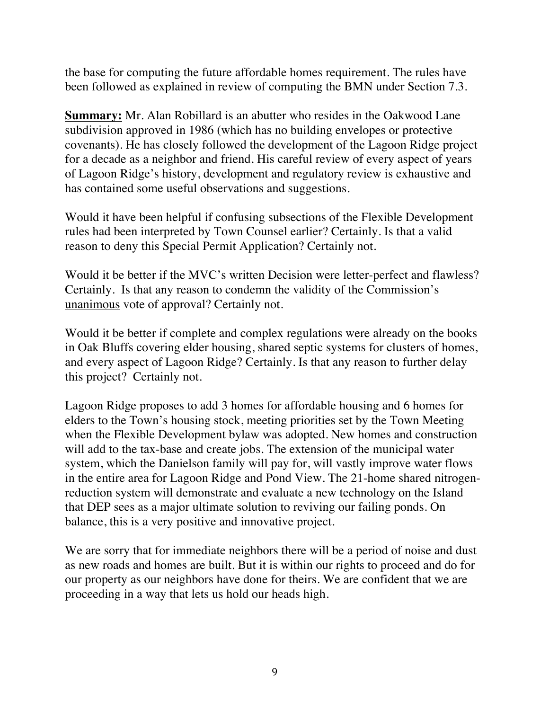the base for computing the future affordable homes requirement. The rules have been followed as explained in review of computing the BMN under Section 7.3.

**Summary:** Mr. Alan Robillard is an abutter who resides in the Oakwood Lane subdivision approved in 1986 (which has no building envelopes or protective covenants). He has closely followed the development of the Lagoon Ridge project for a decade as a neighbor and friend. His careful review of every aspect of years of Lagoon Ridge's history, development and regulatory review is exhaustive and has contained some useful observations and suggestions.

Would it have been helpful if confusing subsections of the Flexible Development rules had been interpreted by Town Counsel earlier? Certainly. Is that a valid reason to deny this Special Permit Application? Certainly not.

Would it be better if the MVC's written Decision were letter-perfect and flawless? Certainly. Is that any reason to condemn the validity of the Commission's unanimous vote of approval? Certainly not.

Would it be better if complete and complex regulations were already on the books in Oak Bluffs covering elder housing, shared septic systems for clusters of homes, and every aspect of Lagoon Ridge? Certainly. Is that any reason to further delay this project? Certainly not.

Lagoon Ridge proposes to add 3 homes for affordable housing and 6 homes for elders to the Town's housing stock, meeting priorities set by the Town Meeting when the Flexible Development bylaw was adopted. New homes and construction will add to the tax-base and create jobs. The extension of the municipal water system, which the Danielson family will pay for, will vastly improve water flows in the entire area for Lagoon Ridge and Pond View. The 21-home shared nitrogenreduction system will demonstrate and evaluate a new technology on the Island that DEP sees as a major ultimate solution to reviving our failing ponds. On balance, this is a very positive and innovative project.

We are sorry that for immediate neighbors there will be a period of noise and dust as new roads and homes are built. But it is within our rights to proceed and do for our property as our neighbors have done for theirs. We are confident that we are proceeding in a way that lets us hold our heads high.